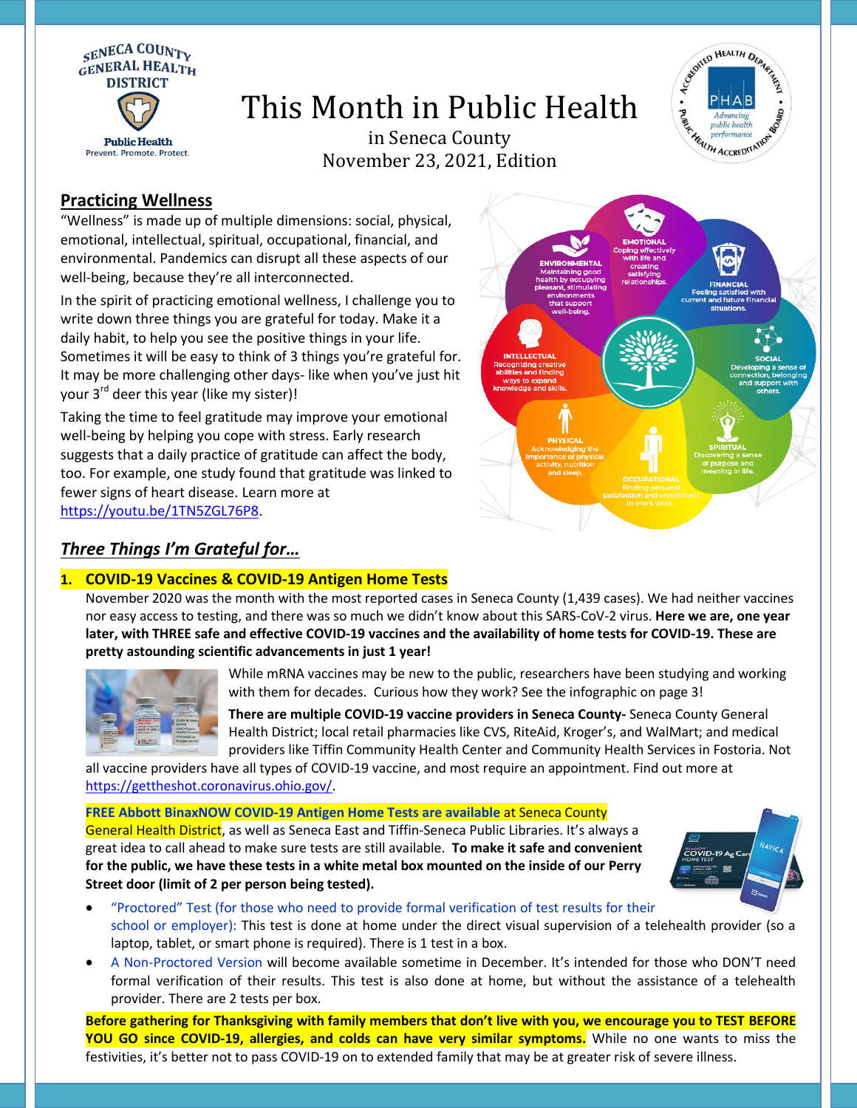

# This Month in Public Health



in Seneca County November 23, 2021, Edition

## **Practicing Wellness**

"Wellness" is made up of multiple dimensions: social, physical, emotional, intellectual, spiritual, occupational, financial, and environmental. Pandemics can disrupt all these aspects of our well-being, because they're all interconnected.

In the spirit of practicing emotional wellness, I challenge you to write down three things you are grateful for today. Make it a daily habit, to help you see the positive things in your life. Sometimes it will be easy to think of 3 things you're grateful for. It may be more challenging other days- like when you've just hit your 3<sup>rd</sup> deer this year (like my sister)!

Taking the time to feel gratitude may improve your emotional well-being by helping you cope with stress. Early research suggests that a daily practice of gratitude can affect the body, too. For example, one study found that gratitude was linked to fewer signs of heart disease. Learn more at [https://youtu.be/1TN5ZGL76P8.](https://youtu.be/1TN5ZGL76P8)



# *Three Things I'm Grateful for…*

### **1. COVID-19 Vaccines & COVID-19 Antigen Home Tests**

November 2020 was the month with the most reported cases in Seneca County (1,439 cases). We had neither vaccines nor easy access to testing, and there was so much we didn't know about this SARS-CoV-2 virus. **Here we are, one year later, with THREE safe and effective COVID-19 vaccines and the availability of home tests for COVID-19. These are pretty astounding scientific advancements in just 1 year!**



While mRNA vaccines may be new to the public, researchers have been studying and working with them for decades. Curious how they work? See the infographic on page 3!

**There are multiple COVID-19 vaccine providers in Seneca County-** Seneca County General Health District; local retail pharmacies like CVS, RiteAid, Kroger's, and WalMart; and medical providers like Tiffin Community Health Center and Community Health Services in Fostoria. Not

all vaccine providers have all types of COVID-19 vaccine, and most require an appointment. Find out more at [https://gettheshot.coronavirus.ohio.gov/.](https://gettheshot.coronavirus.ohio.gov/)

**FREE Abbott BinaxNOW COVID-19 Antigen Home Tests are available** at Seneca County General Health District, as well as Seneca East and Tiffin-Seneca Public Libraries. It's always a great idea to call ahead to make sure tests are still available. **To make it safe and convenient for the public, we have these tests in a white metal box mounted on the inside of our Perry Street door (limit of 2 per person being tested).**



- "Proctored" Test (for those who need to provide formal verification of test results for their school or employer): This test is done at home under the direct visual supervision of a telehealth provider (so a laptop, tablet, or smart phone is required). There is 1 test in a box.
- A Non-Proctored Version will become available sometime in December. It's intended for those who DON'T need formal verification of their results. This test is also done at home, but without the assistance of a telehealth provider. There are 2 tests per box.

**Before gathering for Thanksgiving with family members that don't live with you, we encourage you to TEST BEFORE YOU GO since COVID-19, allergies, and colds can have very similar symptoms.** While no one wants to miss the festivities, it's better not to pass COVID-19 on to extended family that may be at greater risk of severe illness.